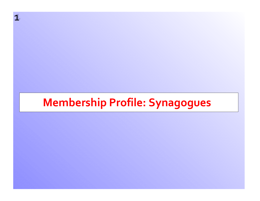# **Membership Profile: Synagogues**

**1** 1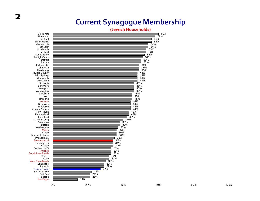#### **(Jewish Households)**



**2**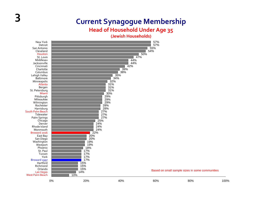#### **Head of Household Under Age 35**

**(Jewish Households)**

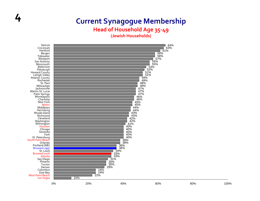### **4 Current Synagogue Membership Head of Household Age 35‐49**

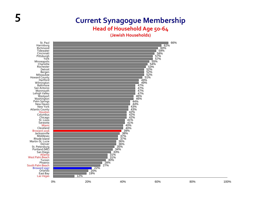#### **Head of Household Age 50‐64**

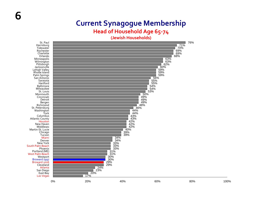#### **Head of Household Age 65‐<sup>74</sup>**

**(Jewish Households)**

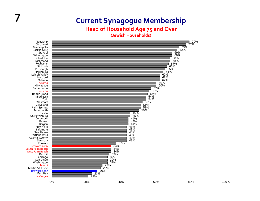#### **Head of Household Age 75 and Over**

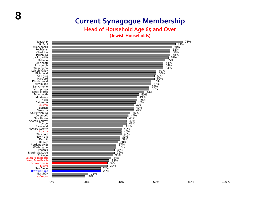#### **Head of Household Age 65 and Over**

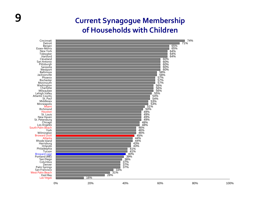### **9 Current Synagogue Membership of Households with Children**

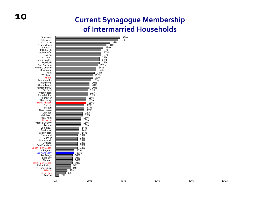#### **Current Synagogue Membership of Intermarried Households**



**10**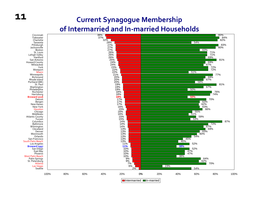#### **Current Synagogue Membership of Intermarried and In‐married Households**



**11**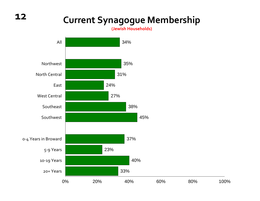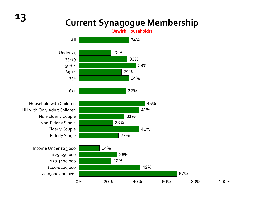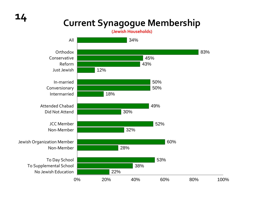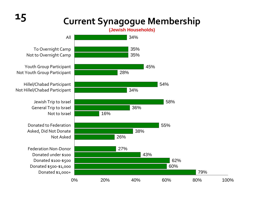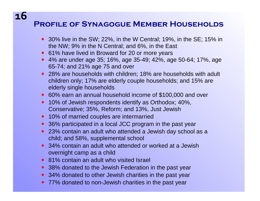#### **Profile of Synagogue Member Households**

- 30% live in the SW; 22%, in the W Central; 19%, in the SE; 15% in the NW; 9% in the N Central; and 6%, in the East
- 61% have lived in Broward for 20 or more years
- 4% are under age 35; 16%, age 35-49; 42%, age 50-64; 17%, age 65-74; and 21% age 75 and over
- 28% are households with children; 18% are households with adult children only; 17% are elderly couple households; and 15% are elderly single households
- 60% earn an annual household income of \$100,000 and over
- 10% of Jewish respondents identify as Orthodox; 40%, Conservative; 35%, Reform; and 13%, Just Jewish
- 10% of married couples are intermarried
- 36% participated in a local JCC program in the past year
- 23% contain an adult who attended a Jewish day school as a child; and 58%, supplemental school
- 34% contain an adult who attended or worked at a Jewish overnight camp as a child
- 81% contain an adult who visited Israel
- 38% donated to the Jewish Federation in the past year
- 34% donated to other Jewish charities in the past year
- 77% donated to non-Jewish charities in the past year

### **16**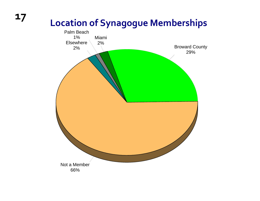# **Location of Synagogue Memberships**

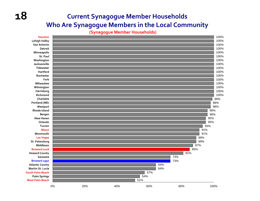#### **Current Synagogue Member Households Who Are Synagogue Members in the Local Community**

**(Synagogue Member Households)**

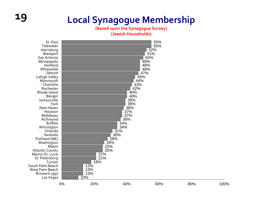# **19 Local Synagogue Membership**

**(Based upon the Synagogue Survey) (Jewish Households)**

St. Paul TidewaterHarrisburg **Westport** San AntonioMinneapolis **Hartford** MilwaukeeDetroitLehigh Valley Monmouth **Charlotte** RochesterRhode IslandBergen JacksonvilleYorkNew Haven HoustonMiddlesex Richmond BuffaloWilmington OrlandoSarasota Portland (ME) Washington MiamiAtlantic County Martin‐St. LucieSt. Petersburg **Tucson**  South Palm Beach West Palm Beach Broward 1997 Las Vegas

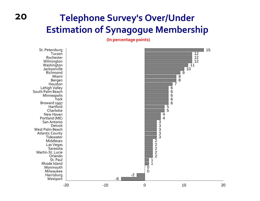## **Telephone Survey's Over/Under Estimation of Synagogue Membership**

**(In percentage points)**



**20**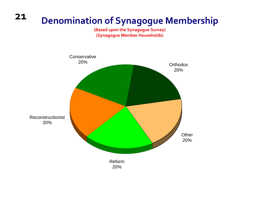#### **21Denomination of Synagogue Membership**

**(Based upon the Synagogue Survey) (Synagogue Member Households)**

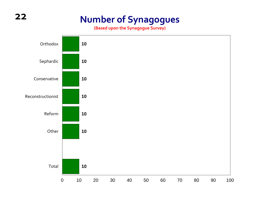### **Number of Synagogues**

**(Based upon the Synagogue Survey)**

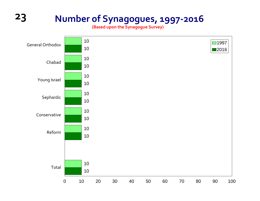## **Number of Synagogues, 1997‐2016**

**(Based upon the Synagogue Survey)**

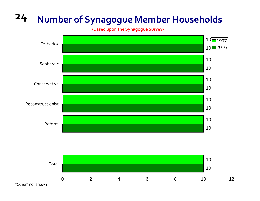# **Number of Synagogue Member Households**

**(Based upon the Synagogue Survey)**

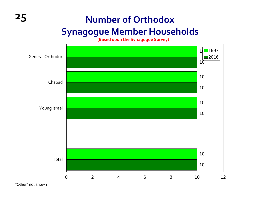## **Number of Orthodox**

### **Synagogue Member Households**

**(Based upon the Synagogue Survey)**



"Other" not shown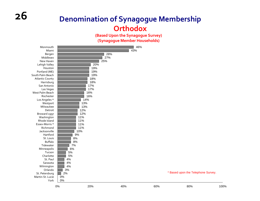#### **Denomination of Synagogue Membership Orthodox**

**(Based Upon the Synagogue Survey) (Synagogue Member Households)**

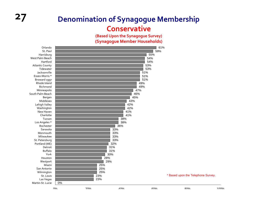### **27 Denomination of Synagogue Membership Conservative**

**(Based Upon the Synagogue Survey) (Synagogue Member Households)**

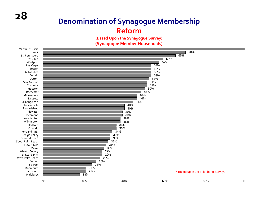### **Denomination of Synagogue Membership Reform**

**(Based Upon the Synagogue Survey) (Synagogue Member Households)**

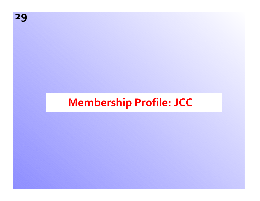# **Membership Profile: JCC**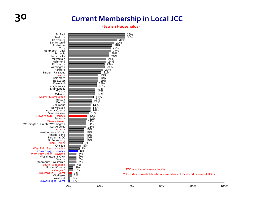### **30 Current Membership in Local JCC**

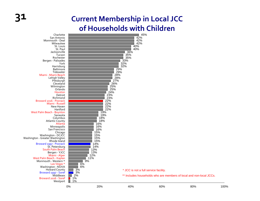### **31 Current Membership in Local JCC of Households with Children**

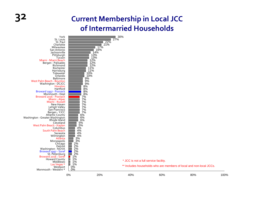#### **32 Current Membership in Local JCC of Intermarried Households**

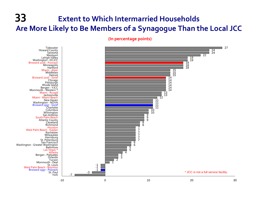### **33 Extent to Which Intermarried Households Are More Likely to Be Members of a Synagogue Than the Local JCC**

**(In percentage points)**

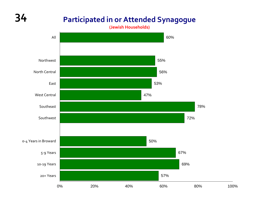## **34 Participated in or Attended Synagogue**

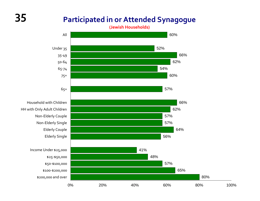#### **Participated in or Attended Synagogue**

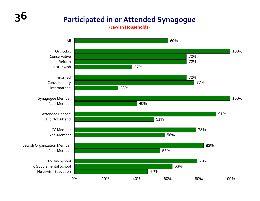### **Participated in or Attended Synagogue**

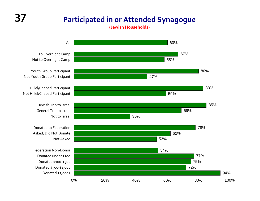#### **Participated in or Attended Synagogue**

**(Jewish Households)**



To Overnight Camp Not to Overnight Camp

Youth Group Participant Not Youth Group Participant

Hillel/Chabad Participant Not Hillel/Chabad Participant

> Jewish Trip to Israel General Trip to Israel

Donated to Federation Asked, Did Not Donate

Federation Non‐Donor Donated under \$100 Donated \$100‐\$500 Donated \$500‐\$1,000 Donated \$1,000+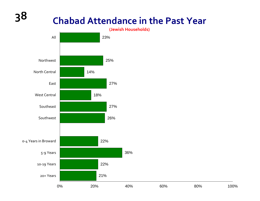

36%

0% 20% 40% 60% 80% 100%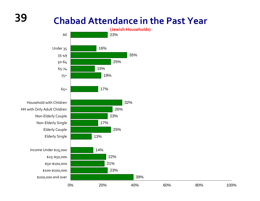

100%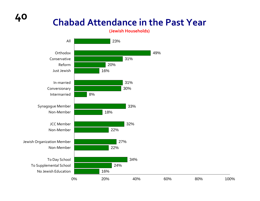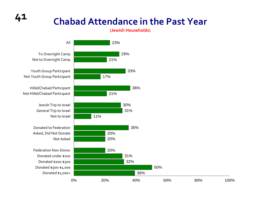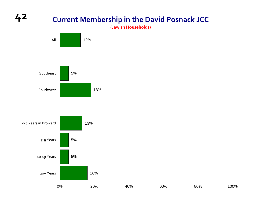#### **Current Membership in the David Posnack JCC**

**(Jewish Households)**

100%

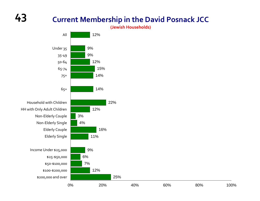## **43**

#### **Current Membership in the David Posnack JCC**

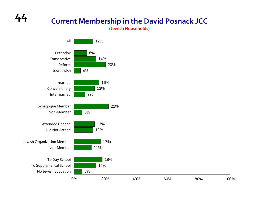#### **Current Membership in the David Posnack JCC**

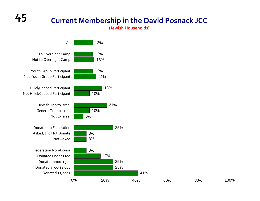#### **Current Membership in the David Posnack JCC**

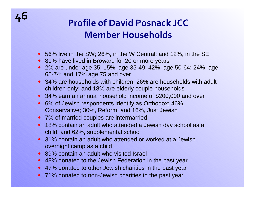## **<sup>46</sup> Profile of David Posnack JCCMember Households**

- 56% live in the SW; 26%, in the W Central; and 12%, in the SE
- 81% have lived in Broward for 20 or more years
- 2% are under age 35; 15%, age 35-49; 42%, age 50-64; 24%, age 65-74; and 17% age 75 and over
- 34% are households with children; 26% are households with adult children only; and 18% are elderly couple households
- 34% earn an annual household income of \$200,000 and over
- 6% of Jewish respondents identify as Orthodox; 46%, Conservative; 30%, Reform; and 16%, Just Jewish
- 7% of married couples are intermarried
- 18% contain an adult who attended a Jewish day school as a child; and 62%, supplemental school
- 31% contain an adult who attended or worked at a Jewish overnight camp as a child
- 89% contain an adult who visited Israel
- 48% donated to the Jewish Federation in the past year
- 47% donated to other Jewish charities in the past year
- 71% donated to non-Jewish charities in the past year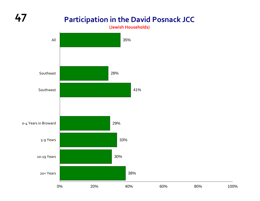**(Jewish Households)**

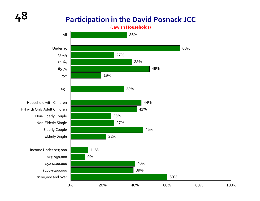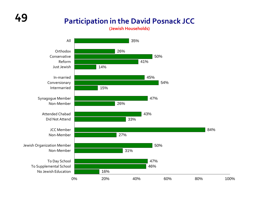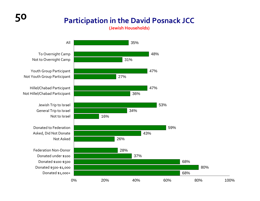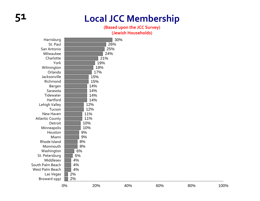## **51 Local JCC Membership**

#### **(Based upon the JCC Survey)**

| Harrisburg             |     |     | 30% |     |     |      |
|------------------------|-----|-----|-----|-----|-----|------|
| St. Paul               |     |     | 26% |     |     |      |
| San Antonio            | 25% |     |     |     |     |      |
| Milwaukee              | 24% |     |     |     |     |      |
| Charlotte              | 21% |     |     |     |     |      |
| York                   | 19% |     |     |     |     |      |
| Wilmington             | 18% |     |     |     |     |      |
| Orlando                |     | 17% |     |     |     |      |
| Jacksonville           |     | 15% |     |     |     |      |
| Richmond               |     | 15% |     |     |     |      |
| Bergen                 |     | 14% |     |     |     |      |
| Sarasota               |     | 14% |     |     |     |      |
| Tidewater              |     | 14% |     |     |     |      |
| Hartford               |     | 14% |     |     |     |      |
| Lehigh Valley          |     | 12% |     |     |     |      |
| Tucson                 |     | 12% |     |     |     |      |
| New Haven              |     | 11% |     |     |     |      |
| <b>Atlantic County</b> |     | 11% |     |     |     |      |
| Detroit                |     | 10% |     |     |     |      |
| Minneapolis            |     | 10% |     |     |     |      |
| Houston                | 9%  |     |     |     |     |      |
| Miami                  | 9%  |     |     |     |     |      |
| Rhode Island           | 8%  |     |     |     |     |      |
| Monmouth               | 8%  |     |     |     |     |      |
| Washington             | 6%  |     |     |     |     |      |
| St. Petersburg         | 5%  |     |     |     |     |      |
| Middlesex              | 4%  |     |     |     |     |      |
| South Palm Beach       | 4%  |     |     |     |     |      |
| West Palm Beach        | 4%  |     |     |     |     |      |
| Las Vegas              | 2%  |     |     |     |     |      |
| Broward 1997           | 2%  |     |     |     |     |      |
|                        | 0%  | 20% | 40% | 60% | 80% | 100% |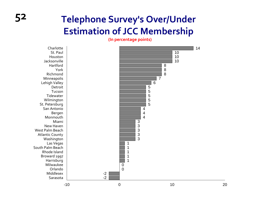## **52 Telephone Survey's Over/Under Estimation of JCC Membership**

**(In percentage points)**

St. Paul HoustonJacksonvilleHartfordYorkRichmondMinneapolis Lehigh Valley DetroitTucsonTidewaterWilmington St. Petersburg San AntonioBergen MonmouthMiamiNew Haven West Palm Beach Atlantic County Washington Las Vegas South Palm Beach Rhode IslandBroward 1997 Harrisburg MilwaukeeOrlandoMiddlesexSarasota

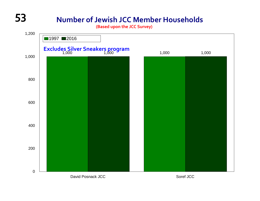## **53 Number of Jewish JCC Member Households**

**(Based upon the JCC Survey)**

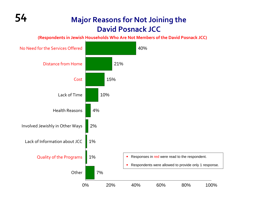#### **54 Major Reasons for Not Joining the David Posnack JCC**

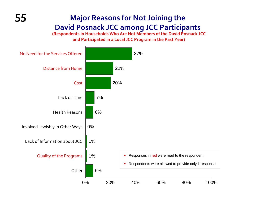### **55 Major Reasons for Not Joining the David Posnack JCC among JCC Participants**

**(Respondents in Households Who Are Not Members of the David Posnack JCC and Participated in <sup>a</sup> Local JCC Program in the Past Year)**

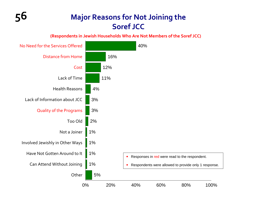#### **56 Major Reasons for Not Joining the Soref JCC**

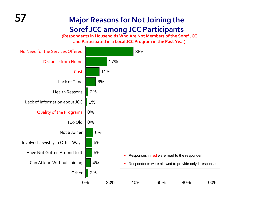#### **57 Major Reasons for Not Joining the Soref JCC among JCC Participants**

**(Respondents in Households Who Are Not Members of the Soref JCC and Participated in <sup>a</sup> Local JCC Program in the Past Year)**

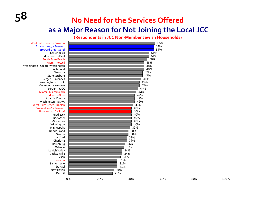### **Need for the Services Offered as a Major Reason for Not Joining the Local JCC**

**(Respondents in JCC Non‐Member Jewish Households)**

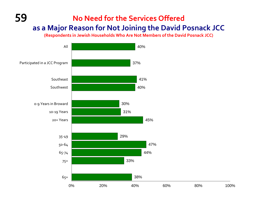#### **59 No Need for the Services Offered as a Major Reason for Not Joining the David Posnack JCC**

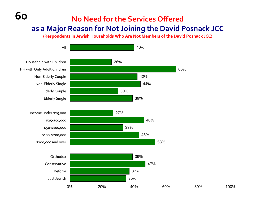## **No Need for the Services Offered as a Major Reason for Not Joining the David Posnack JCC**

**60**

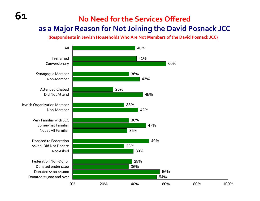### **No Need for the Services Offered as a Major Reason for Not Joining the David Posnack JCC**

**61**

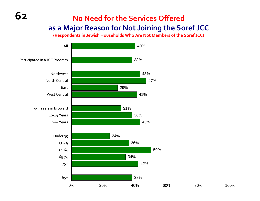### **No Need for the Services Offered as a Major Reason for Not Joining the Soref JCC**

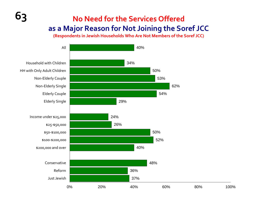### **No Need for the Services Offered as a Major Reason for Not Joining the Soref JCC**

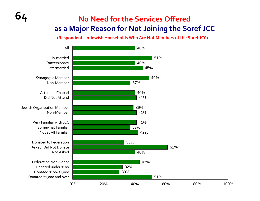#### **No Need for the Services Offered as a Major Reason for Not Joining the Soref JCC**

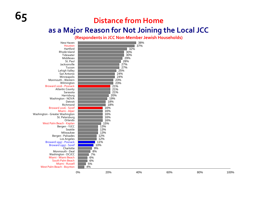## **65 Distance from Home**

#### **as a Major Reason for Not Joining the Local JCC**

**(Respondents in JCC Non‐Member Jewish Households)**

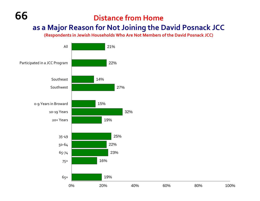#### **as a Major Reason for Not Joining the David Posnack JCC**

**(Respondents in Jewish Households Who Are Not Members of the David Posnack JCC)**



**66**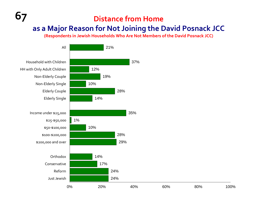#### **Distance from Home**

#### **as a Major Reason for Not Joining the David Posnack JCC**

**(Respondents in Jewish Households Who Are Not Members of the David Posnack JCC)**



**67**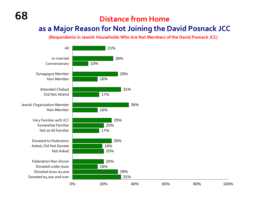#### **as a Major Reason for Not Joining the David Posnack JCC**

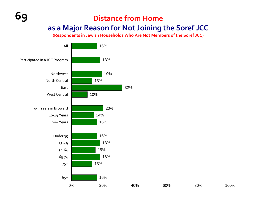#### **Distance from Home as a Major Reason for Not Joining the Soref JCC**

**(Respondents in Jewish Households Who Are Not Members of the Soref JCC)**



**69**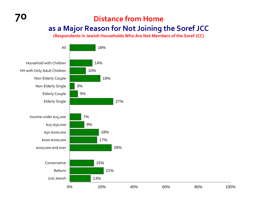**(Respondents in Jewish Households Who Are Not Members of the Soref JCC)**



**70**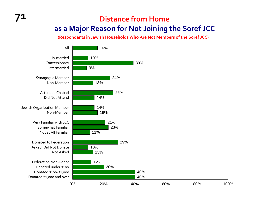#### **Distance from Home as a Major Reason for Not Joining the Soref JCC**

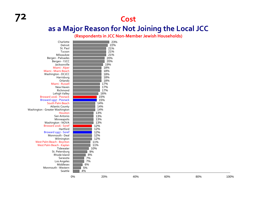#### **as a Major Reason for Not Joining the Local JCC**

**(Respondents in JCC Non‐Member Jewish Households)**

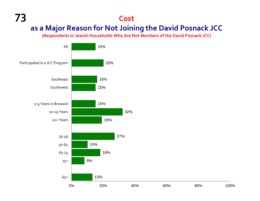#### **73 Cost as a Major Reason for Not Joining the David Posnack JCC**

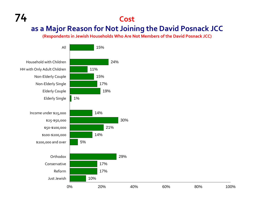#### **as a Major Reason for Not Joining the David Posnack JCC**

**(Respondents in Jewish Households Who Are Not Members of the David Posnack JCC)**



**74**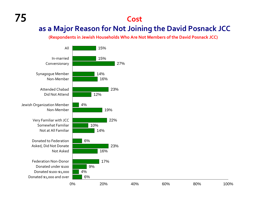#### **as a Major Reason for Not Joining the David Posnack JCC**

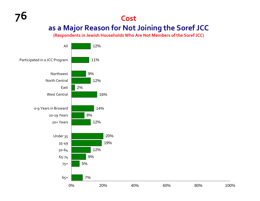#### **as a Major Reason for Not Joining the Soref JCC**

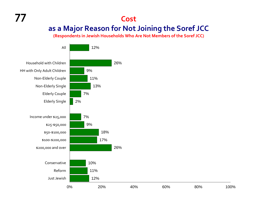#### **as a Major Reason for Not Joining the Soref JCC**

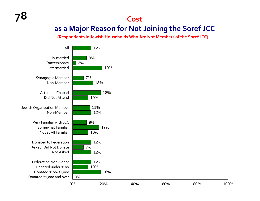#### **as a Major Reason for Not Joining the Soref JCC**

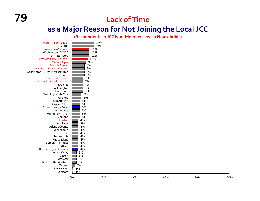### **79 Lack of Time**

#### **as a Major Reason for Not Joining the Local JCC**

**(Respondents in JCC Non‐Member Jewish Households)**

|                                              | 0%                | 20% | 40% | 60% | 80% | 100% |
|----------------------------------------------|-------------------|-----|-----|-----|-----|------|
|                                              |                   |     |     |     |     |      |
| Sarasota                                     | 1%<br>ш           |     |     |     |     |      |
| New Haven                                    | $\blacksquare$ 1% |     |     |     |     |      |
| Tucson                                       | 2%                |     |     |     |     |      |
| Monmouth - Western                           | 3%                |     |     |     |     |      |
| Tidewater                                    | $3%$              |     |     |     |     |      |
| Detroit                                      | $3%$              |     |     |     |     |      |
| Lehigh Valley                                | $3%$              |     |     |     |     |      |
| Broward 1997 - Posnack                       | 4%                |     |     |     |     |      |
| Hartford                                     | 4%                |     |     |     |     |      |
| Bergen - Palisades                           | 4%                |     |     |     |     |      |
| Rhode Island                                 | 4%                |     |     |     |     |      |
| Jacksonville                                 | 4%                |     |     |     |     |      |
| St. Paul                                     | 4%                |     |     |     |     |      |
| Minneapolis                                  | 4%                |     |     |     |     |      |
| <b>Atlantic County</b>                       | 4%                |     |     |     |     |      |
| Middlesex                                    | 4%                |     |     |     |     |      |
| Houston                                      | 4%                |     |     |     |     |      |
| Richmond                                     | 5%                |     |     |     |     |      |
| Monmouth - Deal                              | 5%                |     |     |     |     |      |
| Los Angeles                                  | $5%$              |     |     |     |     |      |
| Broward 1997 - Soref                         | 5%                |     |     |     |     |      |
| Bergen - YJCC                                | 5%                |     |     |     |     |      |
| San Antonio                                  | 5%                |     |     |     |     |      |
| Orlando                                      | 6%                |     |     |     |     |      |
| Washington - NOVA                            | $6\%$             |     |     |     |     |      |
| Harrisburg                                   | $7\%$             |     |     |     |     |      |
| Wilmington                                   | 7%                |     |     |     |     |      |
| Milwaukee                                    | 7%                |     |     |     |     |      |
| West Palm Beach - Kaplan                     | $7\%$             |     |     |     |     |      |
| South Palm Beach                             | $7\%$             |     |     |     |     |      |
| Washington - Greater Washington<br>Charlotte | 8%<br>8%          |     |     |     |     |      |
| West Palm Beach - Boynton                    | $8%$              |     |     |     |     |      |
| Miami - Russell                              | 8%                |     |     |     |     |      |
| Miami - Alper                                | 9%                |     |     |     |     |      |
|                                              | 10%               |     |     |     |     |      |
| St. Petersburg<br>Broward 2016 - Posnack     | 11%               |     |     |     |     |      |
|                                              |                   |     |     |     |     |      |
| Washington - DCJCC                           | 11%               |     |     |     |     |      |
| Broward 2016 - Soref                         | 11%               |     |     |     |     |      |
| Seattle                                      |                   | 14% |     |     |     |      |
| Miami - Miami Beach                          |                   | 14% |     |     |     |      |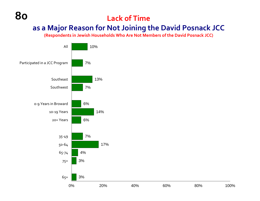#### **Lack of Time**

#### **as a Major Reason for Not Joining the David Posnack JCC**

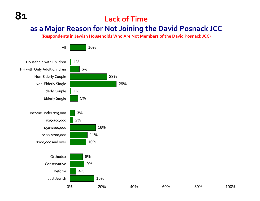**81**

#### **Lack of Time**

#### **as a Major Reason for Not Joining the David Posnack JCC**

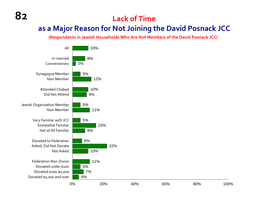#### **Lack of Time**

#### **as a Major Reason for Not Joining the David Posnack JCC**



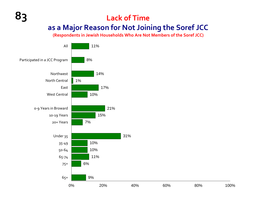### **Lack of Time as a Major Reason for Not Joining the Soref JCC**

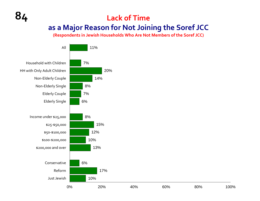**(Respondents in Jewish Households Who Are Not Members of the Soref JCC)**



**84**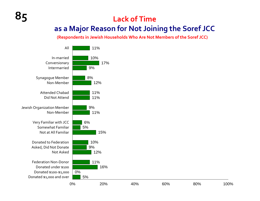### **Lack of Time as a Major Reason for Not Joining the Soref JCC**

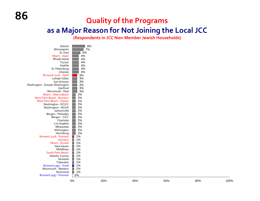#### **Quality of the Programs**

#### **as a Major Reason for Not Joining the Local JCC**

**(Respondents in JCC Non‐Member Jewish Households)**

| Detroit                          | 8% |
|----------------------------------|----|
| Minneapolis                      | 7% |
| St. Paul                         | 5% |
| Miami - Alper                    | 4% |
| Rhode Island                     | 4% |
| Tucson                           | 4% |
| Seattle                          | 4% |
| St. Petersburg                   | 4% |
| Orlando                          | 4% |
| Broward 2016 - Soref             | 3% |
| Lehigh Valley                    | 3% |
| San Antonio                      | 3% |
| Washington - Greater Washington  | 3% |
| Hartford                         | 3% |
| Monmouth - Deal                  | 3% |
| Miami - Miami Beach              | 2% |
| <b>West Palm Beach - Boynton</b> | 2% |
| West Palm Beach - Kaplan         | 2% |
| Washington - DCJCC               | 2% |
| Washington - NOVA                | 2% |
| Jacksonville                     | 2% |
| Bergen - Palisades               | 2% |
| Bergen - YJCC                    | 2% |
| Charlotte                        | 2% |
| Los Angeles                      | 2% |
| Milwaukee                        | 2% |
| Wilmington                       | 2% |
| Harrisburg                       | 2% |
| Broward 2016 - Posnack           | 1% |
| Houston                          | 1% |
| Miami - Russell                  | 1% |
| New Haven                        | 1% |
| Middlesex                        | 1% |
| South Palm Beach                 | 1% |
| <b>Atlantic County</b>           | 1% |
| Sarasota                         | 1% |
| Tidewater                        | 1% |
| Broward 1997 - Soref             | 1% |
| Monmouth - Western               | 1% |
| Richmond                         | 1% |
| Broward 1997 - Posnack           | 0% |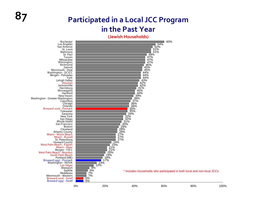#### **7 Participated in a Local JCC Program in the Past Year**

**(Jewish Households)**

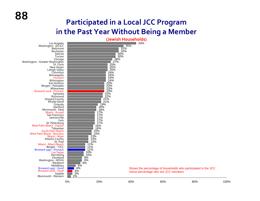#### **Participated in a Local JCC Program in the Past Year Without Being a Member**

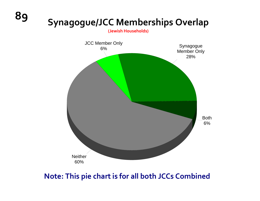# **<sup>89</sup> Synagogue/JCC Memberships Overlap**

**(Jewish Households)**



#### **Note: This pie chart is for all both JCCs Combined**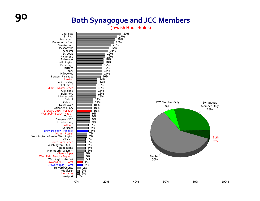### **90 Both Synagogue and JCC Members**

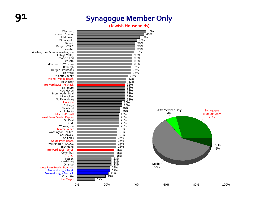#### **91 Synagogue Member Only**

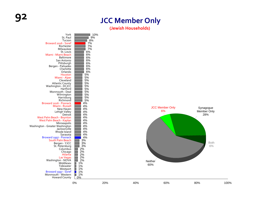#### **Member Only**

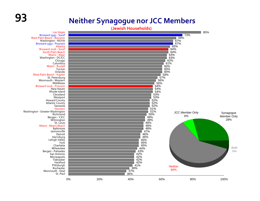### **93 Neither Synagogue nor JCC Members**

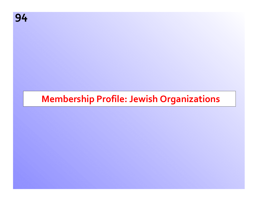### **Membership Profile: Jewish Organizations**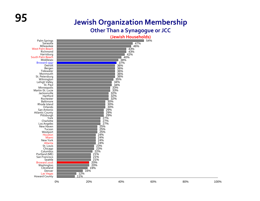# **95 Jewish Organization Membership**

#### **Other Than a Synagogue or JCC**

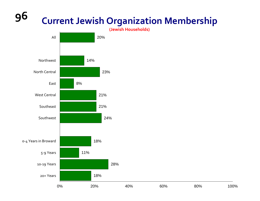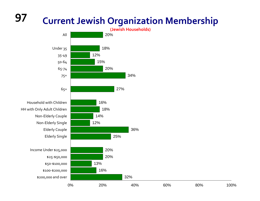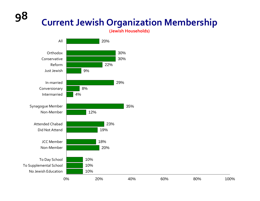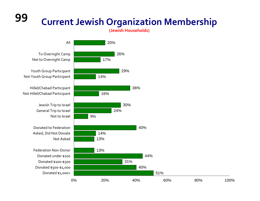**99**

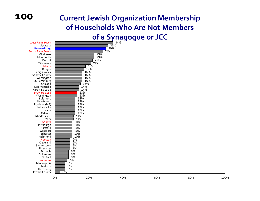#### **100**

### **Current Jewish Organization Membership of Households Who Are Not Members**

#### **of a Synagogue or JCC**

| <b>West Palm Beach</b><br>Sarasota<br>Broward 1997<br>South Palm Beach<br>Middlesex<br>Monmouth<br>Detroit<br>Milwaukee<br>Miami<br>Bergen<br>Lehigh Valley<br>Atlantic County<br>Wilmington<br>St. Petersburg<br>Chicago<br>San Francisco<br>Martin-St.Lucie<br>Broward 2016<br>Washington<br><b>Baltimore</b><br>New Haven<br>Portland (ME)<br>Jacksonville<br>Tucson<br>Orlando<br>Rhode Island<br>York<br>Atlanta<br>Pittsburgh | $\frac{12\%}{12\%}$<br>12%<br>12%<br>12%<br>11%<br>11%<br>10%<br>10%                                                        | 28%<br>23%<br>23%<br>22%<br>21%<br>18%<br>17%<br>16%<br>16%<br>16%<br>16%<br>15%<br>14%<br>14%<br>13%<br>$\frac{13}{13\%}$ | 34%<br>$\overline{31}\%$<br>30% |     |     |      |
|-------------------------------------------------------------------------------------------------------------------------------------------------------------------------------------------------------------------------------------------------------------------------------------------------------------------------------------------------------------------------------------------------------------------------------------|-----------------------------------------------------------------------------------------------------------------------------|----------------------------------------------------------------------------------------------------------------------------|---------------------------------|-----|-----|------|
| Hartford<br>Westport<br>Rochester<br>Richmond<br>Houston<br>Cleveland<br>San Antonio<br>Tidewater<br>St. Louis<br>Columbus<br>St. Paul<br><b>Las Vegas</b><br>Minneapolis<br>Charlotte<br>Harrisburg<br>Howard County                                                                                                                                                                                                               | 10%<br>10%<br>10%<br>10%<br>9%<br>9%<br>9%<br>9%<br>$8%$<br>8%<br>$8%$<br>7%<br>$6\%$<br>6%<br>6%<br>$\overline{3\%}$<br>0% | 20%                                                                                                                        | 40%                             | 60% | 80% | 100% |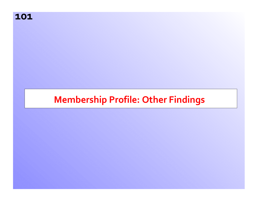**101**

### **Membership Profile: Other Findings**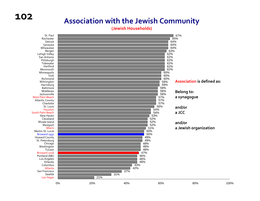#### **Association with the Jewish Community**

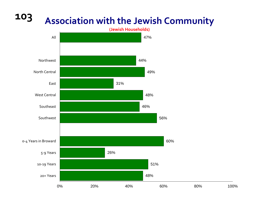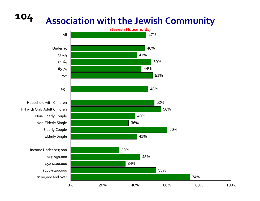

### **Association with the Jewish Community**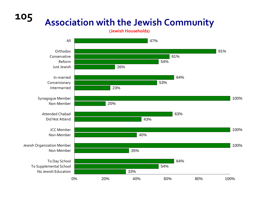**105**

### **Association with the Jewish Community**

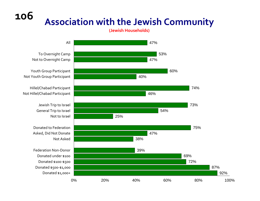**106Association with the Jewish Community**

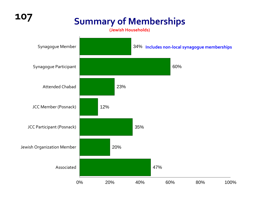# **<sup>107</sup> Summary of Memberships**

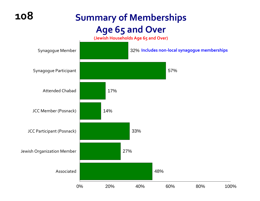## **Summary of Memberships Age 65 and Over**

**(Jewish Households Age 65 and Over)**

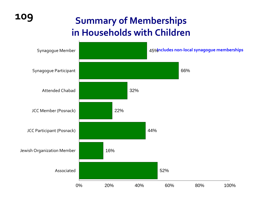# **<sup>109</sup> Summary of Memberships in Households with Children**

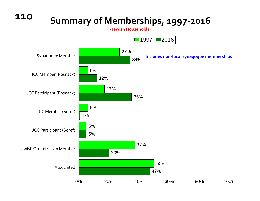## **Summary of Memberships, 1997‐2016**

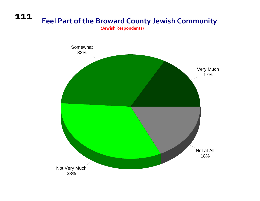#### **111Feel Part of the Broward County Jewish Community**

**(Jewish Respondents)**

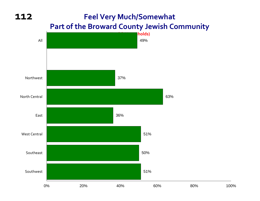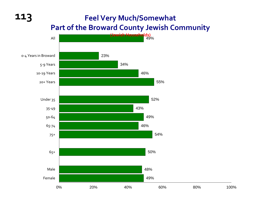## **Feel Very Much/Somewhat Part of the Broward County Jewish Community**



100%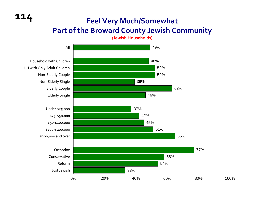### **Feel Very Much/Somewhat Part of the Broward County Jewish Community**

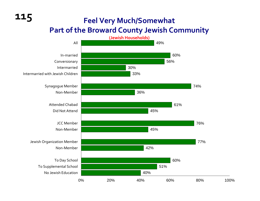### **Feel Very Much/Somewhat Part of the Broward County Jewish Community**

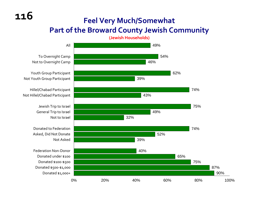### **Feel Very Much/Somewhat Part of the Broward County Jewish Community**

**(Jewish Households)**

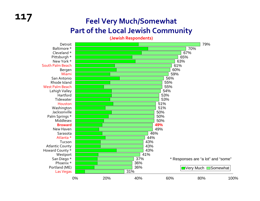## **<sup>117</sup> Feel Very Much/Somewhat Part of the Local Jewish Community**

**(Jewish Respondents)**

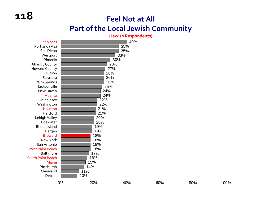### **Feel Not at All Part of the Local Jewish Community**

#### **(Jewish Respondents)**

| Las Vegas              |     |     | 40% |     |     |      |
|------------------------|-----|-----|-----|-----|-----|------|
| Portland (ME)          |     |     | 35% |     |     |      |
| San Diego              |     |     | 35% |     |     |      |
| Westport               |     |     | 33% |     |     |      |
| Phoenix                |     | 30% |     |     |     |      |
| <b>Atlantic County</b> |     | 28% |     |     |     |      |
| <b>Howard County</b>   |     | 27% |     |     |     |      |
| Tucson                 |     | 26% |     |     |     |      |
| Sarasota               |     | 26% |     |     |     |      |
| Palm Springs           |     | 26% |     |     |     |      |
| Jacksonville           |     | 25% |     |     |     |      |
| New Haven              |     | 24% |     |     |     |      |
| Atlanta                |     | 24% |     |     |     |      |
| Middlesex              |     | 22% |     |     |     |      |
| Washington             |     | 22% |     |     |     |      |
| Houston                |     | 21% |     |     |     |      |
| Hartford               |     | 21% |     |     |     |      |
| Lehigh Valley          |     | 20% |     |     |     |      |
| Tidewater              |     | 20% |     |     |     |      |
| Rhode Island           |     | 19% |     |     |     |      |
| Bergen                 |     | 19% |     |     |     |      |
| <b>Broward</b>         |     | 18% |     |     |     |      |
| New York               |     | 18% |     |     |     |      |
| San Antonio            |     | 18% |     |     |     |      |
| <b>West Palm Beach</b> |     | 18% |     |     |     |      |
| <b>Baltimore</b>       |     | 17% |     |     |     |      |
| South Palm Beach       |     | 16% |     |     |     |      |
| Miami                  |     | 15% |     |     |     |      |
| Pittsburgh             | 14% |     |     |     |     |      |
| Cleveland              | 11% |     |     |     |     |      |
| Detroit                | 10% |     |     |     |     |      |
|                        | 0%  | 20% | 40% | 60% | 80% | 100% |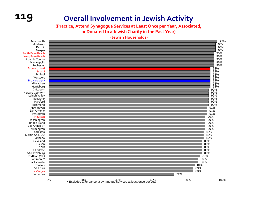

**(Practice, Attend Synagogue Services at Least Once per Year, Associated,**

**or Donated to <sup>a</sup> Jewish Charity in the Past Year)**

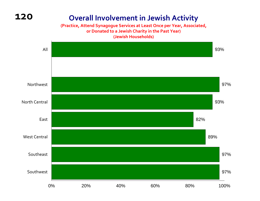#### **Overall Involvement in Jewish Activity**

#### **(Practice, Attend Synagogue Services at Least Once per Year, Associated, or Donated to <sup>a</sup> Jewish Charity in the Past Year) (Jewish Households)**

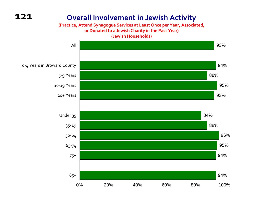**(Practice, Attend Synagogue Services at Least Once per Year, Associated, or Donated to <sup>a</sup> Jewish Charity in the Past Year) (Jewish Households)**

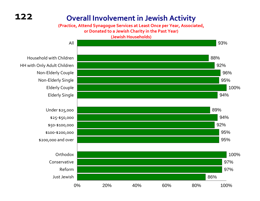#### **(Practice, Attend Synagogue Services at Least Once per Year, Associated, or Donated to <sup>a</sup> Jewish Charity in the Past Year)**

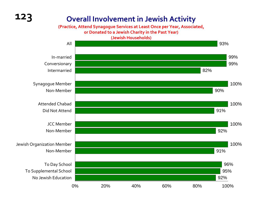**(Practice, Attend Synagogue Services at Least Once per Year, Associated,**

**or Donated to <sup>a</sup> Jewish Charity in the Past Year)**